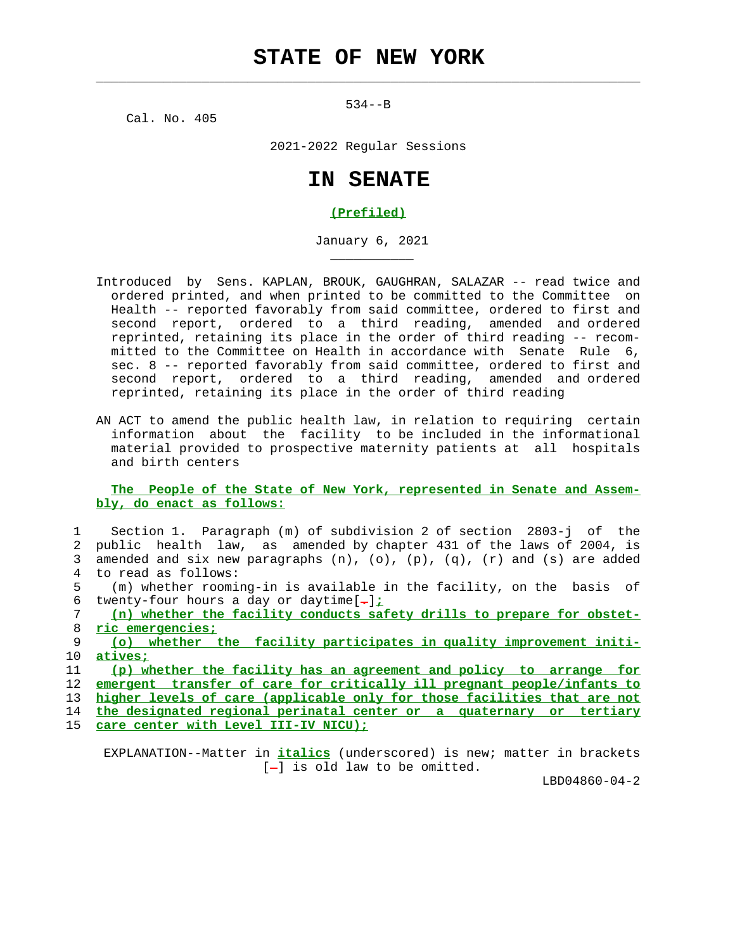534--B

 $\mathcal{L}_\text{max} = \frac{1}{2} \sum_{i=1}^{n} \frac{1}{2} \sum_{i=1}^{n} \frac{1}{2} \sum_{i=1}^{n} \frac{1}{2} \sum_{i=1}^{n} \frac{1}{2} \sum_{i=1}^{n} \frac{1}{2} \sum_{i=1}^{n} \frac{1}{2} \sum_{i=1}^{n} \frac{1}{2} \sum_{i=1}^{n} \frac{1}{2} \sum_{i=1}^{n} \frac{1}{2} \sum_{i=1}^{n} \frac{1}{2} \sum_{i=1}^{n} \frac{1}{2} \sum_{i=1}^{n} \frac{1$ 

Cal. No. 405

\_\_\_\_\_\_\_\_\_\_\_

2021-2022 Regular Sessions

## **IN SENATE**

## **(Prefiled)**

January 6, 2021

- Introduced by Sens. KAPLAN, BROUK, GAUGHRAN, SALAZAR -- read twice and ordered printed, and when printed to be committed to the Committee on Health -- reported favorably from said committee, ordered to first and second report, ordered to a third reading, amended and ordered reprinted, retaining its place in the order of third reading -- recom mitted to the Committee on Health in accordance with Senate Rule 6, sec. 8 -- reported favorably from said committee, ordered to first and second report, ordered to a third reading, amended and ordered reprinted, retaining its place in the order of third reading
- AN ACT to amend the public health law, in relation to requiring certain information about the facility to be included in the informational material provided to prospective maternity patients at all hospitals and birth centers

## **The People of the State of New York, represented in Senate and Assem bly, do enact as follows:**

 1 Section 1. Paragraph (m) of subdivision 2 of section 2803-j of the 2 public health law, as amended by chapter 431 of the laws of 2004, is 3 amended and six new paragraphs  $(n)$ ,  $(o)$ ,  $(p)$ ,  $(q)$ ,  $(r)$  and  $(s)$  are added 4 to read as follows: 5 (m) whether rooming-in is available in the facility, on the basis of 6 twenty-four hours a day or daytime[**.**]**;** 7 **(n) whether the facility conducts safety drills to prepare for obstet-** 8 **ric emergencies;** 9 **(o) whether the facility participates in quality improvement initi-** 10 **atives;** 11 **(p) whether the facility has an agreement and policy to arrange for** 12 **emergent transfer of care for critically ill pregnant people/infants to** 13 **higher levels of care (applicable only for those facilities that are not** 14 **the designated regional perinatal center or a quaternary or tertiary** 15 **care center with Level III-IV NICU);**

 EXPLANATION--Matter in **italics** (underscored) is new; matter in brackets [-] is old law to be omitted.

LBD04860-04-2